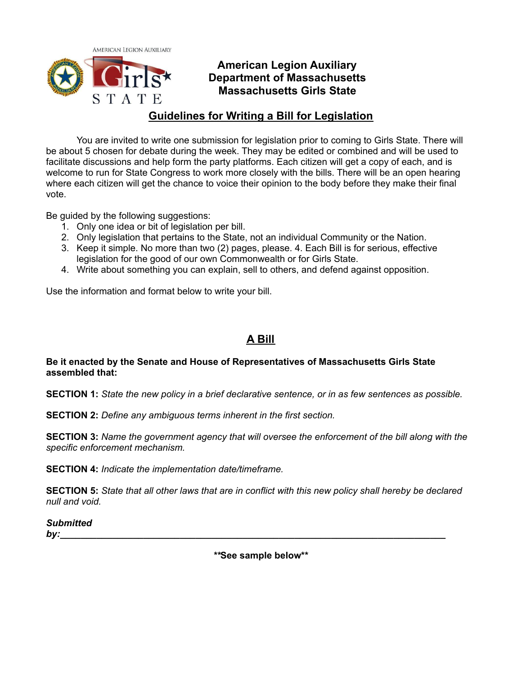

STATE

## **American Legion Auxiliary Department of Massachusetts Massachusetts Girls State**

## **Guidelines for Writing a Bill for Legislation**

You are invited to write one submission for legislation prior to coming to Girls State. There will be about 5 chosen for debate during the week. They may be edited or combined and will be used to facilitate discussions and help form the party platforms. Each citizen will get a copy of each, and is welcome to run for State Congress to work more closely with the bills. There will be an open hearing where each citizen will get the chance to voice their opinion to the body before they make their final vote.

Be guided by the following suggestions:

- 1. Only one idea or bit of legislation per bill.
- 2. Only legislation that pertains to the State, not an individual Community or the Nation.
- 3. Keep it simple. No more than two (2) pages, please. 4. Each Bill is for serious, effective legislation for the good of our own Commonwealth or for Girls State.
- 4. Write about something you can explain, sell to others, and defend against opposition.

Use the information and format below to write your bill.

# **A Bill**

### **Be it enacted by the Senate and House of Representatives of Massachusetts Girls State assembled that:**

**SECTION 1:** State the new policy in a brief declarative sentence, or in as few sentences as possible.

**SECTION 2:** *Define any ambiguous terms inherent in the first section.*

**SECTION 3:** *Name the government agency that will oversee the enforcement of the bill along with the specific enforcement mechanism.*

**SECTION 4:** *Indicate the implementation date/timeframe.*

SECTION 5: State that all other laws that are in conflict with this new policy shall hereby be declared *null and void.*

*Submitted*

*by:\_\_\_\_\_\_\_\_\_\_\_\_\_\_\_\_\_\_\_\_\_\_\_\_\_\_\_\_\_\_\_\_\_\_\_\_\_\_\_\_\_\_\_\_\_\_\_\_\_\_\_\_\_\_\_\_\_\_\_\_\_\_\_\_\_\_\_\_\_\_\_\_\_\_*

*\*\****See sample below\*\***